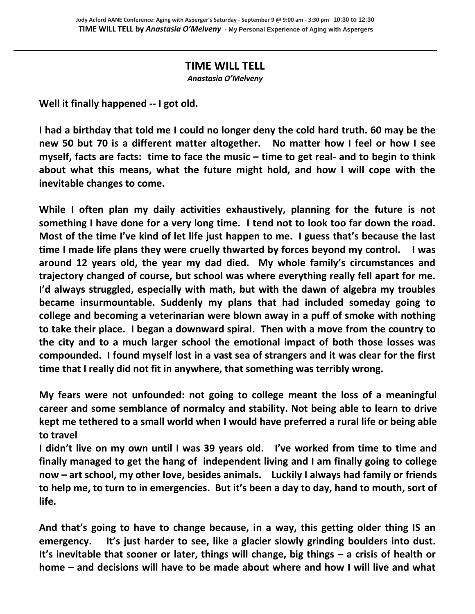## **TIME WILL TELL**

*Anastasia O'Melveny* 

**Well it finally happened -- I got old.** 

**I had a birthday that told me I could no longer deny the cold hard truth. 60 may be the new 50 but 70 is a different matter altogether. No matter how I feel or how I see myself, facts are facts: time to face the music – time to get real- and to begin to think about what this means, what the future might hold, and how I will cope with the inevitable changes to come.** 

**While I often plan my daily activities exhaustively, planning for the future is not something I have done for a very long time. I tend not to look too far down the road. Most of the time I've kind of let life just happen to me. I guess that's because the last time I made life plans they were cruelly thwarted by forces beyond my control. I was around 12 years old, the year my dad died. My whole family's circumstances and trajectory changed of course, but school was where everything really fell apart for me. I'd always struggled, especially with math, but with the dawn of algebra my troubles became insurmountable. Suddenly my plans that had included someday going to college and becoming a veterinarian were blown away in a puff of smoke with nothing to take their place. I began a downward spiral. Then with a move from the country to the city and to a much larger school the emotional impact of both those losses was compounded. I found myself lost in a vast sea of strangers and it was clear for the first time that I really did not fit in anywhere, that something was terribly wrong.** 

**My fears were not unfounded: not going to college meant the loss of a meaningful career and some semblance of normalcy and stability. Not being able to learn to drive kept me tethered to a small world when I would have preferred a rural life or being able to travel**

**I didn't live on my own until I was 39 years old. I've worked from time to time and finally managed to get the hang of independent living and I am finally going to college now – art school, my other love, besides animals. Luckily I always had family or friends to help me, to turn to in emergencies. But it's been a day to day, hand to mouth, sort of life.** 

**And that's going to have to change because, in a way, this getting older thing IS an emergency. It's just harder to see, like a glacier slowly grinding boulders into dust. It's inevitable that sooner or later, things will change, big things – a crisis of health or home – and decisions will have to be made about where and how I will live and what**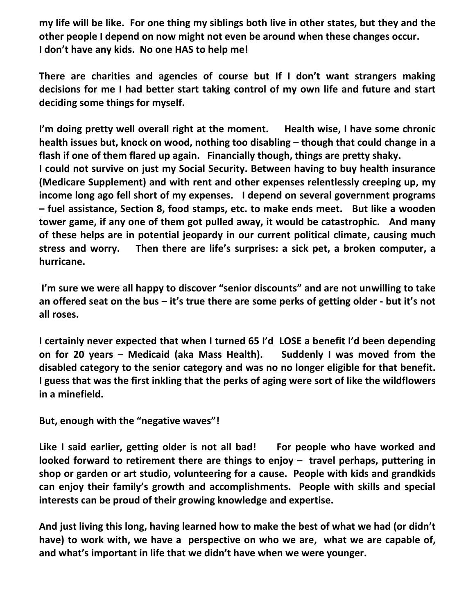**my life will be like. For one thing my siblings both live in other states, but they and the other people I depend on now might not even be around when these changes occur. I don't have any kids. No one HAS to help me!** 

**There are charities and agencies of course but If I don't want strangers making decisions for me I had better start taking control of my own life and future and start deciding some things for myself.** 

**I'm doing pretty well overall right at the moment. Health wise, I have some chronic health issues but, knock on wood, nothing too disabling – though that could change in a flash if one of them flared up again. Financially though, things are pretty shaky. I could not survive on just my Social Security. Between having to buy health insurance (Medicare Supplement) and with rent and other expenses relentlessly creeping up, my income long ago fell short of my expenses. I depend on several government programs – fuel assistance, Section 8, food stamps, etc. to make ends meet. But like a wooden tower game, if any one of them got pulled away, it would be catastrophic. And many of these helps are in potential jeopardy in our current political climate, causing much stress and worry. Then there are life's surprises: a sick pet, a broken computer, a hurricane.** 

**I'm sure we were all happy to discover "senior discounts" and are not unwilling to take an offered seat on the bus – it's true there are some perks of getting older - but it's not all roses.** 

**I certainly never expected that when I turned 65 I'd LOSE a benefit I'd been depending on for 20 years – Medicaid (aka Mass Health). Suddenly I was moved from the disabled category to the senior category and was no no longer eligible for that benefit. I guess that was the first inkling that the perks of aging were sort of like the wildflowers in a minefield.** 

**But, enough with the "negative waves"!** 

**Like I said earlier, getting older is not all bad! For people who have worked and looked forward to retirement there are things to enjoy – travel perhaps, puttering in shop or garden or art studio, volunteering for a cause. People with kids and grandkids can enjoy their family's growth and accomplishments. People with skills and special interests can be proud of their growing knowledge and expertise.** 

**And just living this long, having learned how to make the best of what we had (or didn't have) to work with, we have a perspective on who we are, what we are capable of, and what's important in life that we didn't have when we were younger.**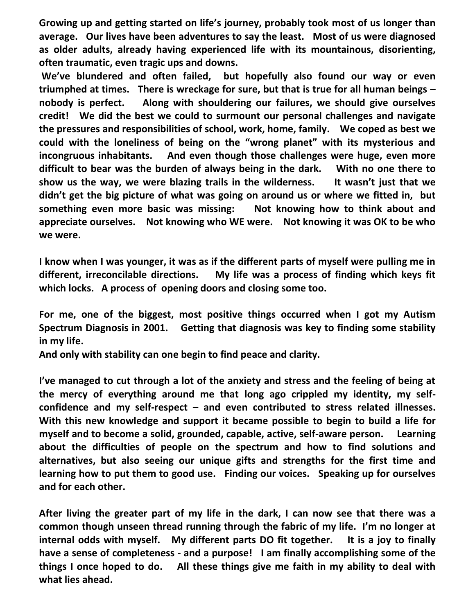**Growing up and getting started on life's journey, probably took most of us longer than average. Our lives have been adventures to say the least. Most of us were diagnosed as older adults, already having experienced life with its mountainous, disorienting, often traumatic, even tragic ups and downs.** 

**We've blundered and often failed, but hopefully also found our way or even triumphed at times. There is wreckage for sure, but that is true for all human beings – nobody is perfect. Along with shouldering our failures, we should give ourselves credit! We did the best we could to surmount our personal challenges and navigate the pressures and responsibilities of school, work, home, family. We coped as best we could with the loneliness of being on the "wrong planet" with its mysterious and incongruous inhabitants. And even though those challenges were huge, even more difficult to bear was the burden of always being in the dark. With no one there to show us the way, we were blazing trails in the wilderness. It wasn't just that we didn't get the big picture of what was going on around us or where we fitted in, but something even more basic was missing: Not knowing how to think about and appreciate ourselves. Not knowing who WE were. Not knowing it was OK to be who we were.** 

**I know when I was younger, it was as if the different parts of myself were pulling me in different, irreconcilable directions. My life was a process of finding which keys fit which locks. A process of opening doors and closing some too.** 

**For me, one of the biggest, most positive things occurred when I got my Autism Spectrum Diagnosis in 2001. Getting that diagnosis was key to finding some stability in my life.** 

**And only with stability can one begin to find peace and clarity.** 

**I've managed to cut through a lot of the anxiety and stress and the feeling of being at the mercy of everything around me that long ago crippled my identity, my selfconfidence and my self-respect – and even contributed to stress related illnesses. With this new knowledge and support it became possible to begin to build a life for myself and to become a solid, grounded, capable, active, self-aware person. Learning about the difficulties of people on the spectrum and how to find solutions and alternatives, but also seeing our unique gifts and strengths for the first time and learning how to put them to good use. Finding our voices. Speaking up for ourselves and for each other.** 

**After living the greater part of my life in the dark, I can now see that there was a common though unseen thread running through the fabric of my life. I'm no longer at internal odds with myself. My different parts DO fit together. It is a joy to finally have a sense of completeness - and a purpose! I am finally accomplishing some of the things I once hoped to do. All these things give me faith in my ability to deal with what lies ahead.**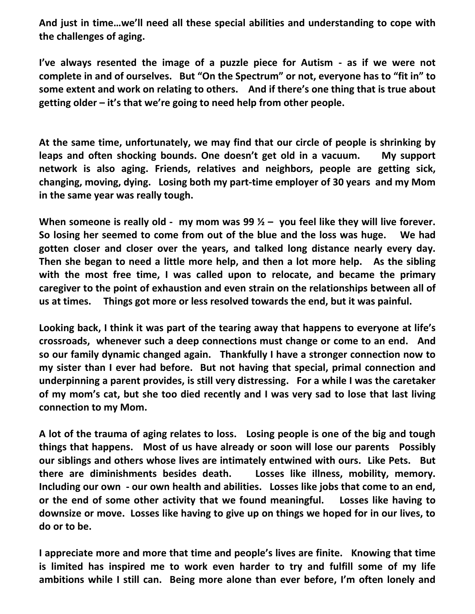**And just in time…we'll need all these special abilities and understanding to cope with the challenges of aging.** 

**I've always resented the image of a puzzle piece for Autism - as if we were not complete in and of ourselves. But "On the Spectrum" or not, everyone has to "fit in" to some extent and work on relating to others. And if there's one thing that is true about getting older – it's that we're going to need help from other people.** 

**At the same time, unfortunately, we may find that our circle of people is shrinking by leaps and often shocking bounds. One doesn't get old in a vacuum. My support network is also aging. Friends, relatives and neighbors, people are getting sick, changing, moving, dying. Losing both my part-time employer of 30 years and my Mom in the same year was really tough.** 

**When someone is really old - my mom was 99 ½ – you feel like they will live forever. So losing her seemed to come from out of the blue and the loss was huge. We had gotten closer and closer over the years, and talked long distance nearly every day. Then she began to need a little more help, and then a lot more help. As the sibling with the most free time, I was called upon to relocate, and became the primary caregiver to the point of exhaustion and even strain on the relationships between all of us at times. Things got more or less resolved towards the end, but it was painful.** 

**Looking back, I think it was part of the tearing away that happens to everyone at life's crossroads, whenever such a deep connections must change or come to an end. And so our family dynamic changed again. Thankfully I have a stronger connection now to my sister than I ever had before. But not having that special, primal connection and underpinning a parent provides, is still very distressing. For a while I was the caretaker of my mom's cat, but she too died recently and I was very sad to lose that last living connection to my Mom.** 

**A lot of the trauma of aging relates to loss. Losing people is one of the big and tough things that happens. Most of us have already or soon will lose our parents Possibly our siblings and others whose lives are intimately entwined with ours. Like Pets. But there are diminishments besides death. Losses like illness, mobility, memory. Including our own - our own health and abilities. Losses like jobs that come to an end, or the end of some other activity that we found meaningful. Losses like having to downsize or move. Losses like having to give up on things we hoped for in our lives, to do or to be.** 

**I appreciate more and more that time and people's lives are finite. Knowing that time is limited has inspired me to work even harder to try and fulfill some of my life ambitions while I still can. Being more alone than ever before, I'm often lonely and**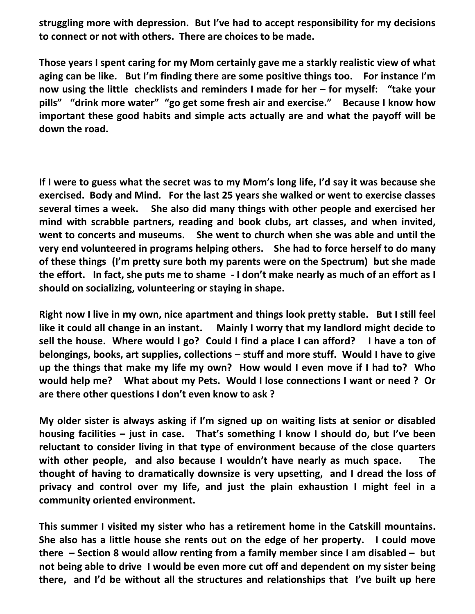**struggling more with depression. But I've had to accept responsibility for my decisions to connect or not with others. There are choices to be made.** 

**Those years I spent caring for my Mom certainly gave me a starkly realistic view of what aging can be like. But I'm finding there are some positive things too. For instance I'm now using the little checklists and reminders I made for her – for myself: "take your pills" "drink more water" "go get some fresh air and exercise." Because I know how important these good habits and simple acts actually are and what the payoff will be down the road.** 

**If I were to guess what the secret was to my Mom's long life, I'd say it was because she exercised. Body and Mind. For the last 25 years she walked or went to exercise classes several times a week. She also did many things with other people and exercised her mind with scrabble partners, reading and book clubs, art classes, and when invited, went to concerts and museums. She went to church when she was able and until the very end volunteered in programs helping others. She had to force herself to do many of these things (I'm pretty sure both my parents were on the Spectrum) but she made the effort. In fact, she puts me to shame - I don't make nearly as much of an effort as I should on socializing, volunteering or staying in shape.** 

**Right now I live in my own, nice apartment and things look pretty stable. But I still feel like it could all change in an instant. Mainly I worry that my landlord might decide to sell the house. Where would I go? Could I find a place I can afford? I have a ton of belongings, books, art supplies, collections – stuff and more stuff. Would I have to give up the things that make my life my own? How would I even move if I had to? Who would help me? What about my Pets. Would I lose connections I want or need ? Or are there other questions I don't even know to ask ?** 

**My older sister is always asking if I'm signed up on waiting lists at senior or disabled housing facilities – just in case. That's something I know I should do, but I've been reluctant to consider living in that type of environment because of the close quarters with other people, and also because I wouldn't have nearly as much space. The thought of having to dramatically downsize is very upsetting, and I dread the loss of privacy and control over my life, and just the plain exhaustion I might feel in a community oriented environment.** 

**This summer I visited my sister who has a retirement home in the Catskill mountains. She also has a little house she rents out on the edge of her property. I could move there – Section 8 would allow renting from a family member since I am disabled – but not being able to drive I would be even more cut off and dependent on my sister being there, and I'd be without all the structures and relationships that I've built up here**